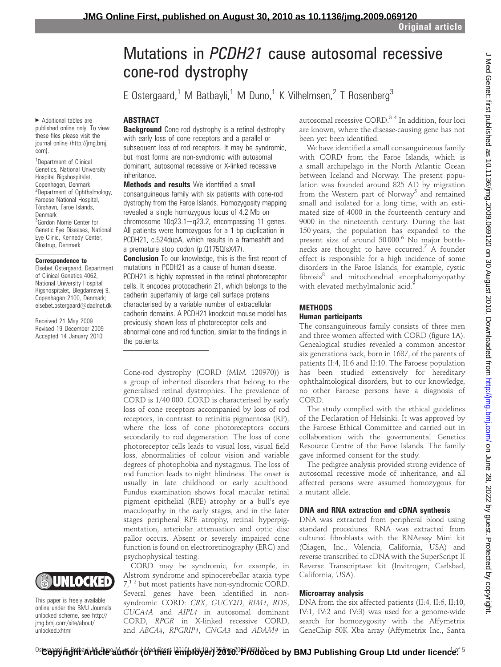# Mutations in PCDH21 cause autosomal recessive cone-rod dystrophy

E Ostergaard,<sup>1</sup> M Batbayli,<sup>1</sup> M Duno,<sup>1</sup> K Vilhelmsen,<sup>2</sup> T Rosenberg<sup>3</sup>

### ABSTRACT

**Background** Cone-rod dystrophy is a retinal dystrophy with early loss of cone receptors and a parallel or subsequent loss of rod receptors. It may be syndromic, but most forms are non-syndromic with autosomal dominant, autosomal recessive or X-linked recessive inheritance.

**Methods and results** We identified a small consanguineous family with six patients with cone-rod dystrophy from the Faroe Islands. Homozygosity mapping revealed a single homozygous locus of 4.2 Mb on chromosome  $10q23.1-q23.2$ , encompassing 11 genes. All patients were homozygous for a 1-bp duplication in PCDH21, c.524dupA, which results in a frameshift and a premature stop codon (p.Q175QfsX47).

**Conclusion** To our knowledge, this is the first report of mutations in PCDH21 as a cause of human disease. PCDH21 is highly expressed in the retinal photoreceptor cells. It encodes protocadherin 21, which belongs to the cadherin superfamily of large cell surface proteins characterised by a variable number of extracellular cadherin domains. A PCDH21 knockout mouse model has previously shown loss of photoreceptor cells and abnormal cone and rod function, similar to the findings in the patients.

Cone-rod dystrophy (CORD (MIM 120970)) is a group of inherited disorders that belong to the generalised retinal dystrophies. The prevalence of CORD is 1/40 000. CORD is characterised by early loss of cone receptors accompanied by loss of rod receptors, in contrast to retinitis pigmentosa (RP), where the loss of cone photoreceptors occurs secondarily to rod degeneration. The loss of cone photoreceptor cells leads to visual loss, visual field loss, abnormalities of colour vision and variable degrees of photophobia and nystagmus. The loss of rod function leads to night blindness. The onset is usually in late childhood or early adulthood. Fundus examination shows focal macular retinal pigment epithelial (RPE) atrophy or a bull's eye maculopathy in the early stages, and in the later stages peripheral RPE atrophy, retinal hyperpigmentation, arteriolar attenuation and optic disc pallor occurs. Absent or severely impaired cone function is found on electroretinography (ERG) and psychophysical testing.

CORD may be syndromic, for example, in Alstrom syndrome and spinocerebellar ataxia type  $7<sup>12</sup>$  but most patients have non-syndromic CORD. Several genes have been identified in nonsyndromic CORD: CRX, GUCY2D, RIM1, RDS, GUCA1A and AIPL1 in autosomal dominant CORD, RPGR in X-linked recessive CORD, and ABCA4, RPGRIP1, CNGA3 and ADAM9 in autosomal recessive CORD.<sup>34</sup> In addition, four loci are known, where the disease-causing gene has not been yet been identified.

We have identified a small consanguineous family with CORD from the Faroe Islands, which is a small archipelago in the North Atlantic Ocean between Iceland and Norway. The present population was founded around 825 AD by migration from the Western part of Norway<sup>5</sup> and remained small and isolated for a long time, with an estimated size of 4000 in the fourteenth century and 9000 in the nineteenth century. During the last 150 years, the population has expanded to the present size of around 50000.<sup>6</sup> No major bottlenecks are thought to have occurred.<sup>7</sup> A founder effect is responsible for a high incidence of some disorders in the Faroe Islands, for example, cystic fibrosis<sup>8</sup> and mitochondrial encephalomyopathy with elevated methylmalonic acid.<sup>9</sup>

# **METHODS**

# Human participants

The consanguineous family consists of three men and three women affected with CORD (figure 1A). Genealogical studies revealed a common ancestor six generations back, born in 1687, of the parents of patients II:4, II:6 and II:10. The Faroese population has been studied extensively for hereditary ophthalmological disorders, but to our knowledge, no other Faroese persons have a diagnosis of CORD.

The study complied with the ethical guidelines of the Declaration of Helsinki. It was approved by the Faroese Ethical Committee and carried out in collaboration with the governmental Genetics Resource Centre of the Faroe Islands. The family gave informed consent for the study.

The pedigree analysis provided strong evidence of autosomal recessive mode of inheritance, and all affected persons were assumed homozygous for a mutant allele.

# DNA and RNA extraction and cDNA synthesis

DNA was extracted from peripheral blood using standard procedures. RNA was extracted from cultured fibroblasts with the RNAeasy Mini kit (Qiagen, Inc., Valencia, California, USA) and reverse transcribed to cDNA with the SuperScript II Reverse Transcriptase kit (Invitrogen, Carlsbad, California, USA).

#### Microarray analysis

DNA from the six affected patients (II:4, II:6, II:10, IV:1, IV:2 and IV:3) was used for a genome-wide search for homozygosity with the Affymetrix GeneChip 50K Xba array (Affymetrix Inc., Santa

▶ Additional tables are published online only. To view these files please visit the journal online (http://jmg.bmj. com).

<sup>1</sup>Department of Clinical Genetics, National University Hospital Rigshospitalet, Copenhagen, Denmark <sup>2</sup>Department of Ophthalmology, Faroese National Hospital, Tórshavn, Faroe Islands, Denmark <sup>3</sup>Gordon Norrie Center for Genetic Eye Diseases, National Eye Clinic, Kennedy Center, Glostrup, Denmark

#### Correspondence to

Elsebet Ostergaard, Department of Clinical Genetics 4062, National University Hospital Rigshospitalet, Blegdamsvej 9, Copenhagen 2100, Denmark; elsebet.ostergaard@dadlnet.dk

Received 21 May 2009 Revised 19 December 2009 Accepted 14 January 2010



This paper is freely available online under the BMJ Journals unlocked scheme, see http:// jmg.bmj.com/site/about/ unlocked.xhtml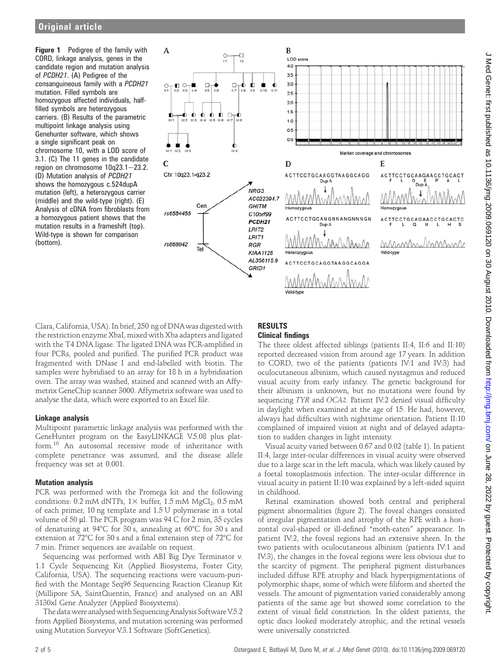**Figure 1** Pedigree of the family with CORD, linkage analysis, genes in the candidate region and mutation analysis of PCDH21. (A) Pedigree of the consanguineous family with a PCDH21 mutation. Filled symbols are homozygous affected individuals, halffilled symbols are heterozygous carriers. (B) Results of the parametric multipoint linkage analysis using Genehunter software, which shows a single significant peak on chromosome 10, with a LOD score of 3.1. (C) The 11 genes in the candidate region on chromosome  $10q23.1 - 23.2$ . (D) Mutation analysis of PCDH21 shows the homozygous c.524dupA mutation (left), a heterozygous carrier (middle) and the wild-type (right). (E) Analysis of cDNA from fibroblasts from a homozygous patient shows that the mutation results in a frameshift (top). Wild-type is shown for comparison (bottom).



Clara, California, USA). In brief, 250 ng of DNAwas digested with the restriction enzyme XbaI, mixed with Xba adapters and ligated with the T4 DNA ligase. The ligated DNA was PCR-amplified in four PCRs, pooled and purified. The purified PCR product was fragmented with DNase I and end-labelled with biotin. The samples were hybridised to an array for 18 h in a hybridisation oven. The array was washed, stained and scanned with an Affymetrix GeneChip scanner 3000. Affymetrix software was used to analyse the data, which were exported to an Excel file.

#### Linkage analysis

Multipoint parametric linkage analysis was performed with the GeneHunter program on the EasyLINKAGE V.5.08 plus platform.<sup>10</sup> An autosomal recessive mode of inheritance with complete penetrance was assumed, and the disease allele frequency was set at 0.001.

#### Mutation analysis

PCR was performed with the Promega kit and the following conditions: 0.2 mM dNTPs,  $1 \times$  buffer, 1.5 mM MgCl<sub>2</sub>, 0.5 mM of each primer, 10 ng template and 1.5 U polymerase in a total volume of 50  $\mu$ l. The PCR program was 94 C for 2 min, 35 cycles of denaturing at 94°C for 30 s, annealing at 60°C for 30 s and extension at  $72^{\circ}$ C for 30 s and a final extension step of  $72^{\circ}$ C for 7 min. Primer sequences are available on request.

Sequencing was performed with ABI Big Dye Terminator v. 1.1 Cycle Sequencing Kit (Applied Biosystems, Foster City, California, USA). The sequencing reactions were vacuum-purified with the Montage Seq96 Sequencing Reaction Cleanup Kit (Millipore SA, SaintQuentin, France) and analysed on an ABI 3130xl Gene Analyzer (Applied Biosystems).

The data were analysed with Sequencing Analysis Software V.5.2 from Applied Biosystems, and mutation screening was performed using Mutation Surveyor V.3.1 Software (SoftGenetics).

# RESULTS

# Clinical findings

The three oldest affected siblings (patients II:4, II:6 and II:10) reported decreased vision from around age 17 years. In addition to CORD, two of the patients (patients IV:1 and IV:3) had oculocutaneous albinism, which caused nystagmus and reduced visual acuity from early infancy. The genetic background for their albinism is unknown, but no mutations were found by sequencing TYR and OCA2. Patient IV:2 denied visual difficulty in daylight when examined at the age of 15. He had, however, always had difficulties with nighttime orientation. Patient II:10 complained of impaired vision at night and of delayed adaptation to sudden changes in light intensity.

Visual acuity varied between 0.67 and 0.02 (table 1). In patient II:4, large inter-ocular differences in visual acuity were observed due to a large scar in the left macula, which was likely caused by a foetal toxoplasmosis infection. The inter-ocular difference in visual acuity in patient II:10 was explained by a left-sided squint in childhood.

Retinal examination showed both central and peripheral pigment abnormalities (figure 2). The foveal changes consisted of irregular pigmentation and atrophy of the RPE with a horizontal oval-shaped or ill-defined "moth-eaten" appearance. In patient IV:2, the foveal regions had an extensive sheen. In the two patients with oculocutaneous albinism (patients IV:1 and IV:3), the changes in the foveal regions were less obvious due to the scarcity of pigment. The peripheral pigment disturbances included diffuse RPE atrophy and black hyperpigmentations of polymorphic shape, some of which were filiform and sheeted the vessels. The amount of pigmentation varied considerably among patients of the same age but showed some correlation to the extent of visual field constriction. In the oldest patients, the optic discs looked moderately atrophic, and the retinal vessels were universally constricted.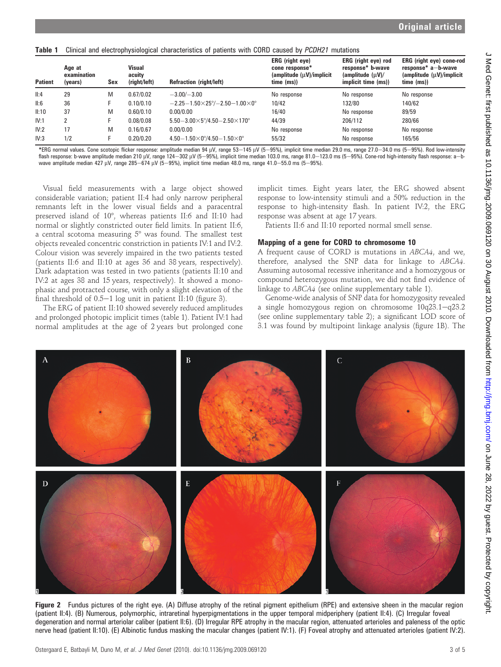|  | Table 1 Clinical and electrophysiological characteristics of patients with CORD caused by PCDH21 mutations |  |  |  |
|--|------------------------------------------------------------------------------------------------------------|--|--|--|
|--|------------------------------------------------------------------------------------------------------------|--|--|--|

| <b>Patient</b> | Age at<br>examination<br>(years) | Sex | <b>Visual</b><br>acuity<br>(right/left) | <b>Refraction (right/left)</b>                                | ERG (right eye)<br>cone response*<br>(amplitude (µV)/implicit)<br>time (ms)) | ERG (right eye) rod<br>response* b-wave<br>$\langle$ amplitude $\langle \mu V \rangle /$<br>implicit time (ms)) | <b>ERG</b> (right eye) cone-rod<br>response* a-b-wave<br>$\langle$ amplitude $\langle \mu V \rangle$ /implicit<br>time (ms) |
|----------------|----------------------------------|-----|-----------------------------------------|---------------------------------------------------------------|------------------------------------------------------------------------------|-----------------------------------------------------------------------------------------------------------------|-----------------------------------------------------------------------------------------------------------------------------|
| II:4           | 29                               | M   | 0.67/0.02                               | $-3.00/-3.00$                                                 | No response                                                                  | No response                                                                                                     | No response                                                                                                                 |
| II:6           | 36                               |     | 0.10/0.10                               | $-2.25-1.50\times25^{\circ}/-2.50-1.00\times0^{\circ}$        | 10/42                                                                        | 132/80                                                                                                          | 140/62                                                                                                                      |
| II:10          | 37                               | M   | 0.60/0.10                               | 0.00/0.00                                                     | 16/40                                                                        | No response                                                                                                     | 89/59                                                                                                                       |
| IV:1           |                                  |     | 0.08/0.08                               | $5.50 - 3.00 \times 5^{\circ}/4.50 - 2.50 \times 170^{\circ}$ | 44/39                                                                        | 206/112                                                                                                         | 280/66                                                                                                                      |
| IV:2           | 17                               | M   | 0.16/0.67                               | 0.00/0.00                                                     | No response                                                                  | No response                                                                                                     | No response                                                                                                                 |
| IV:3           | 1/2                              |     | 0.20/0.20                               | $4.50 - 1.50 \times 0^{\circ}/4.50 - 1.50 \times 0^{\circ}$   | 55/32                                                                        | No response                                                                                                     | 165/56                                                                                                                      |

\*ERG normal values. Cone scotopic flicker response: amplitude median 94 µV, range 53-145 µV (5-95%), implicit time median 29.0 ms, range 27.0-34.0 ms (5-95%). Rod low-intensity flash response: b-wave amplitude median 210 μV, range 124–302 μV (5–95%), implicit time median 103.0 ms, range 81.0–123.0 ms (5–95%). Cone-rod high-intensity flash response: a–b-<br>wave amplitude median 427 μV, range 285–67

Visual field measurements with a large object showed considerable variation; patient II:4 had only narrow peripheral remnants left in the lower visual fields and a paracentral preserved island of 10°, whereas patients II:6 and II:10 had normal or slightly constricted outer field limits. In patient II:6, a central scotoma measuring  $5^{\circ}$  was found. The smallest test objects revealed concentric constriction in patients IV:1 and IV:2. Colour vision was severely impaired in the two patients tested (patients II:6 and II:10 at ages 36 and 38 years, respectively). Dark adaptation was tested in two patients (patients II:10 and IV:2 at ages 38 and 15 years, respectively). It showed a monophasic and protracted course, with only a slight elevation of the final threshold of  $0.5-1$  log unit in patient II:10 (figure 3).

The ERG of patient II:10 showed severely reduced amplitudes and prolonged photopic implicit times (table 1). Patient IV:1 had normal amplitudes at the age of 2 years but prolonged cone implicit times. Eight years later, the ERG showed absent response to low-intensity stimuli and a 50% reduction in the response to high-intensity flash. In patient IV:2, the ERG response was absent at age 17 years.

Patients II:6 and II:10 reported normal smell sense.

# Mapping of a gene for CORD to chromosome 10

A frequent cause of CORD is mutations in ABCA4, and we, therefore, analysed the SNP data for linkage to ABCA4. Assuming autosomal recessive inheritance and a homozygous or compound heterozygous mutation, we did not find evidence of linkage to ABCA4 (see online supplementary table 1).

Genome-wide analysis of SNP data for homozygosity revealed a single homozygous region on chromosome 10q23.1-q23.2 (see online supplementary table 2); a significant LOD score of 3.1 was found by multipoint linkage analysis (figure 1B). The



Figure 2 Fundus pictures of the right eye. (A) Diffuse atrophy of the retinal pigment epithelium (RPE) and extensive sheen in the macular region (patient II:4). (B) Numerous, polymorphic, intraretinal hyperpigmentations in the upper temporal midperiphery (patient II:4). (C) Irregular foveal degeneration and normal arteriolar caliber (patient II:6). (D) Irregular RPE atrophy in the macular region, attenuated arterioles and paleness of the optic nerve head (patient II:10). (E) Albinotic fundus masking the macular changes (patient IV:1). (F) Foveal atrophy and attenuated arterioles (patient IV:2).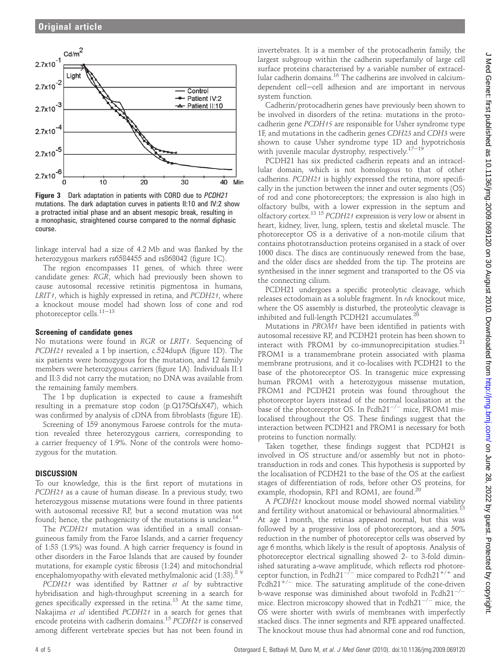

Figure 3 Dark adaptation in patients with CORD due to PCDH21 mutations. The dark adaptation curves in patients II:10 and IV:2 show a protracted initial phase and an absent mesopic break, resulting in a monophasic, straightened course compared to the normal diphasic course.

linkage interval had a size of 4.2 Mb and was flanked by the heterozygous markers rs6584455 and rs868042 (figure 1C).

The region encompasses 11 genes, of which three were candidate genes: RGR, which had previously been shown to cause autosomal recessive retinitis pigmentosa in humans, LRIT<sub>1</sub>, which is highly expressed in retina, and PCDH21, where a knockout mouse model had shown loss of cone and rod photoreceptor cells. $11-13$ 

#### Screening of candidate genes

No mutations were found in RGR or LRIT1. Sequencing of PCDH21 revealed a 1 bp insertion, c.524dupA (figure 1D). The six patients were homozygous for the mutation, and 12 family members were heterozygous carriers (figure 1A). Individuals II:1 and II:3 did not carry the mutation; no DNA was available from the remaining family members.

The 1 bp duplication is expected to cause a frameshift resulting in a premature stop codon (p.Q175QfsX47), which was confirmed by analysis of cDNA from fibroblasts (figure 1E).

Screening of 159 anonymous Faroese controls for the mutation revealed three heterozygous carriers, corresponding to a carrier frequency of 1.9%. None of the controls were homozygous for the mutation.

#### **DISCUSSION**

To our knowledge, this is the first report of mutations in PCDH21 as a cause of human disease. In a previous study, two heterozygous missense mutations were found in three patients with autosomal recessive RP, but a second mutation was not found; hence, the pathogenicity of the mutations is unclear.<sup>14</sup>

The PCDH21 mutation was identified in a small consanguineous family from the Faroe Islands, and a carrier frequency of 1:53 (1.9%) was found. A high carrier frequency is found in other disorders in the Faroe Islands that are caused by founder mutations, for example cystic fibrosis (1:24) and mitochondrial encephalomyopathy with elevated methylmalonic acid  $(1:33)$ .<sup>89</sup>

PCDH21 was identified by Rattner et al by subtractive hybridisation and high-throughput screening in a search for genes specifically expressed in the retina.<sup>13</sup> At the same time, Nakajima et al identified PCDH21 in a search for genes that encode proteins with cadherin domains.<sup>15</sup> PCDH21 is conserved among different vertebrate species but has not been found in

invertebrates. It is a member of the protocadherin family, the largest subgroup within the cadherin superfamily of large cell surface proteins characterised by a variable number of extracellular cadherin domains.<sup>16</sup> The cadherins are involved in calciumdependent cell-cell adhesion and are important in nervous system function.

Cadherin/protocadherin genes have previously been shown to be involved in disorders of the retina: mutations in the protocadherin gene PCDH15 are responsible for Usher syndrome type 1F, and mutations in the cadherin genes CDH23 and CDH3 were shown to cause Usher syndrome type 1D and hypotrichosis with juvenile macular dystrophy, respectively.<sup>17-19</sup>

PCDH21 has six predicted cadherin repeats and an intracellular domain, which is not homologous to that of other cadherins. PCDH21 is highly expressed the retina, more specifically in the junction between the inner and outer segments (OS) of rod and cone photoreceptors; the expression is also high in olfactory bulbs, with a lower expression in the septum and olfactory cortex.13 <sup>15</sup> PCDH21 expression is very low or absent in heart, kidney, liver, lung, spleen, testis and skeletal muscle. The photoreceptor OS is a derivative of a non-motile cilium that contains phototransduction proteins organised in a stack of over 1000 discs. The discs are continuously renewed from the base, and the older discs are shedded from the tip. The proteins are synthesised in the inner segment and transported to the OS via the connecting cilium.

PCDH21 undergoes a specific proteolytic cleavage, which releases ectodomain as a soluble fragment. In rds knockout mice, where the OS assembly is disturbed, the proteolytic cleavage is inhibited and full-length PCDH21 accumulates. $^{20}$ 

Mutations in PROM1 have been identified in patients with autosomal recessive RP, and PCDH21 protein has been shown to interact with PROM1 by co-immunoprecipitation studies. $21$ PROM1 is a transmembrane protein associated with plasma membrane protrusions, and it co-localises with PCDH21 to the base of the photoreceptor OS. In transgenic mice expressing human PROM1 with a heterozygous missense mutation, PROM1 and PCDH21 protein was found throughout the photoreceptor layers instead of the normal localisation at the base of the photoreceptor OS. In Pcdh $21^{-/-}$  mice, PROM1 mislocalised throughout the OS. These findings suggest that the interaction between PCDH21 and PROM1 is necessary for both proteins to function normally.

Taken together, these findings suggest that PCDH21 is involved in OS structure and/or assembly but not in phototransduction in rods and cones. This hypothesis is supported by the localisation of PCDH21 to the base of the OS at the earliest stages of differentiation of rods, before other OS proteins, for example, rhodopsin, RP1 and ROM1, are found.<sup>20</sup>

A PCDH21 knockout mouse model showed normal viability and fertility without anatomical or behavioural abnormalities.<sup>13</sup> At age 1 month, the retinas appeared normal, but this was followed by a progressive loss of photoreceptors, and a 50% reduction in the number of photoreceptor cells was observed by age 6 months, which likely is the result of apoptosis. Analysis of photoreceptor electrical signalling showed 2- to 3-fold diminished saturating a-wave amplitude, which reflects rod photoreceptor function, in Pcdh21<sup>-/-</sup> mice compared to Pcdh21<sup>+/+</sup> and Pcdh21<sup>+/-</sup> mice. The saturating amplitude of the cone-driven b-wave response was diminished about twofold in  $Pcdh21^{-/-}$ mice. Electron microscopy showed that in  $Pcdh21^{-/-}$  mice, the OS were shorter with swirls of membranes with imperfectly stacked discs. The inner segments and RPE appeared unaffected. The knockout mouse thus had abnormal cone and rod function,